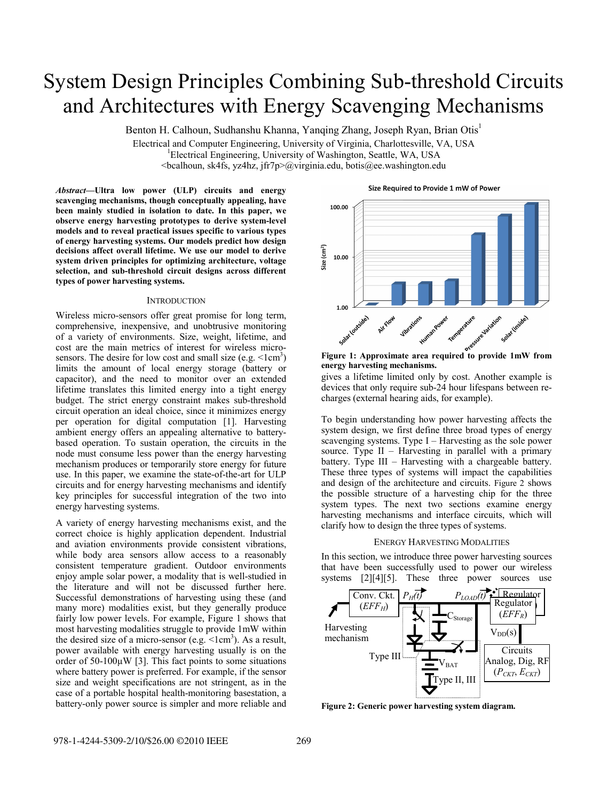# System Design Principles Combining Sub-threshold Circuits and Architectures with Energy Scavenging Mechanisms

Benton H. Calhoun, Sudhanshu Khanna, Yanging Zhang, Joseph Ryan, Brian Otis<sup>1</sup>

Electrical and Computer Engineering, University of Virginia, Charlottesville, VA, USA 1

Electrical Engineering, University of Washington, Seattle, WA, USA

 $\epsilon$ bcalhoun, sk4fs, yz4hz, jfr7p $\geq$ @virginia.edu, botis@ee.washington.edu

*Abstract***—Ultra low power (ULP) circuits and energy scavenging mechanisms, though conceptually appealing, have been mainly studied in isolation to date. In this paper, we observe energy harvesting prototypes to derive system-level models and to reveal practical issues specific to various types of energy harvesting systems. Our models predict how design decisions affect overall lifetime. We use our model to derive system driven principles for optimizing architecture, voltage selection, and sub-threshold circuit designs across different types of power harvesting systems.** 

# **INTRODUCTION**

Wireless micro-sensors offer great promise for long term, comprehensive, inexpensive, and unobtrusive monitoring of a variety of environments. Size, weight, lifetime, and cost are the main metrics of interest for wireless microsensors. The desire for low cost and small size (e.g.  $\leq$ 1cm<sup>3</sup>) limits the amount of local energy storage (battery or capacitor), and the need to monitor over an extended lifetime translates this limited energy into a tight energy budget. The strict energy constraint makes sub-threshold circuit operation an ideal choice, since it minimizes energy per operation for digital computation [1]. Harvesting ambient energy offers an appealing alternative to batterybased operation. To sustain operation, the circuits in the node must consume less power than the energy harvesting mechanism produces or temporarily store energy for future use. In this paper, we examine the state-of-the-art for ULP circuits and for energy harvesting mechanisms and identify key principles for successful integration of the two into energy harvesting systems.

A variety of energy harvesting mechanisms exist, and the correct choice is highly application dependent. Industrial and aviation environments provide consistent vibrations, while body area sensors allow access to a reasonably consistent temperature gradient. Outdoor environments enjoy ample solar power, a modality that is well-studied in the literature and will not be discussed further here. Successful demonstrations of harvesting using these (and many more) modalities exist, but they generally produce fairly low power levels. For example, Figure 1 shows that most harvesting modalities struggle to provide 1mW within the desired size of a micro-sensor (e.g.  $\leq 1 \text{ cm}^3$ ). As a result, power available with energy harvesting usually is on the order of  $50-100\mu$ W [3]. This fact points to some situations where battery power is preferred. For example, if the sensor size and weight specifications are not stringent, as in the case of a portable hospital health-monitoring basestation, a battery-only power source is simpler and more reliable and

Size Required to Provide 1 mW of Power



**energy harvesting mechanisms.** 

gives a lifetime limited only by cost. Another example is devices that only require sub-24 hour lifespans between recharges (external hearing aids, for example).

To begin understanding how power harvesting affects the system design, we first define three broad types of energy scavenging systems. Type I – Harvesting as the sole power source. Type  $II$  – Harvesting in parallel with a primary battery. Type III – Harvesting with a chargeable battery. These three types of systems will impact the capabilities and design of the architecture and circuits. Figure 2 shows the possible structure of a harvesting chip for the three system types. The next two sections examine energy harvesting mechanisms and interface circuits, which will clarify how to design the three types of systems.

## ENERGY HARVESTING MODALITIES

In this section, we introduce three power harvesting sources that have been successfully used to power our wireless systems [2][4][5]. These three power sources use



**Figure 2: Generic power harvesting system diagram.**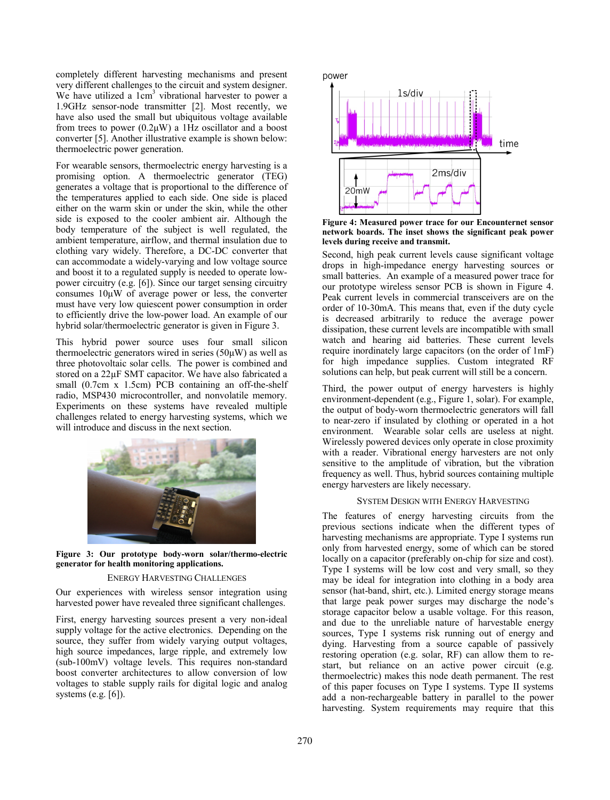completely different harvesting mechanisms and present very different challenges to the circuit and system designer. We have utilized a  $1 \text{cm}^3$  vibrational harvester to power a 1.9GHz sensor-node transmitter [2]. Most recently, we have also used the small but ubiquitous voltage available from trees to power  $(0.2\mu W)$  a 1Hz oscillator and a boost converter [5]. Another illustrative example is shown below: thermoelectric power generation.

For wearable sensors, thermoelectric energy harvesting is a promising option. A thermoelectric generator (TEG) generates a voltage that is proportional to the difference of the temperatures applied to each side. One side is placed either on the warm skin or under the skin, while the other side is exposed to the cooler ambient air. Although the body temperature of the subject is well regulated, the ambient temperature, airflow, and thermal insulation due to clothing vary widely. Therefore, a DC-DC converter that can accommodate a widely-varying and low voltage source and boost it to a regulated supply is needed to operate lowpower circuitry (e.g. [6]). Since our target sensing circuitry consumes 10μW of average power or less, the converter must have very low quiescent power consumption in order to efficiently drive the low-power load. An example of our hybrid solar/thermoelectric generator is given in Figure 3.

This hybrid power source uses four small silicon thermoelectric generators wired in series (50μW) as well as three photovoltaic solar cells. The power is combined and stored on a 22µF SMT capacitor. We have also fabricated a small (0.7cm x 1.5cm) PCB containing an off-the-shelf radio, MSP430 microcontroller, and nonvolatile memory. Experiments on these systems have revealed multiple challenges related to energy harvesting systems, which we will introduce and discuss in the next section.



**Figure 3: Our prototype body-worn solar/thermo-electric generator for health monitoring applications.** 

#### ENERGY HARVESTING CHALLENGES

Our experiences with wireless sensor integration using harvested power have revealed three significant challenges.

First, energy harvesting sources present a very non-ideal supply voltage for the active electronics. Depending on the source, they suffer from widely varying output voltages, high source impedances, large ripple, and extremely low (sub-100mV) voltage levels. This requires non-standard boost converter architectures to allow conversion of low voltages to stable supply rails for digital logic and analog systems (e.g. [6]).



**Figure 4: Measured power trace for our Encounternet sensor network boards. The inset shows the significant peak power levels during receive and transmit.**

Second, high peak current levels cause significant voltage drops in high-impedance energy harvesting sources or small batteries. An example of a measured power trace for our prototype wireless sensor PCB is shown in Figure 4. Peak current levels in commercial transceivers are on the order of 10-30mA. This means that, even if the duty cycle is decreased arbitrarily to reduce the average power dissipation, these current levels are incompatible with small watch and hearing aid batteries. These current levels require inordinately large capacitors (on the order of 1mF) for high impedance supplies. Custom integrated RF solutions can help, but peak current will still be a concern.

Third, the power output of energy harvesters is highly environment-dependent (e.g., Figure 1, solar). For example, the output of body-worn thermoelectric generators will fall to near-zero if insulated by clothing or operated in a hot environment. Wearable solar cells are useless at night. Wirelessly powered devices only operate in close proximity with a reader. Vibrational energy harvesters are not only sensitive to the amplitude of vibration, but the vibration frequency as well. Thus, hybrid sources containing multiple energy harvesters are likely necessary.

#### SYSTEM DESIGN WITH ENERGY HARVESTING

The features of energy harvesting circuits from the previous sections indicate when the different types of harvesting mechanisms are appropriate. Type I systems run only from harvested energy, some of which can be stored locally on a capacitor (preferably on-chip for size and cost). Type I systems will be low cost and very small, so they may be ideal for integration into clothing in a body area sensor (hat-band, shirt, etc.). Limited energy storage means that large peak power surges may discharge the node's storage capacitor below a usable voltage. For this reason, and due to the unreliable nature of harvestable energy sources, Type I systems risk running out of energy and dying. Harvesting from a source capable of passively restoring operation (e.g. solar, RF) can allow them to restart, but reliance on an active power circuit (e.g. thermoelectric) makes this node death permanent. The rest of this paper focuses on Type I systems. Type II systems add a non-rechargeable battery in parallel to the power harvesting. System requirements may require that this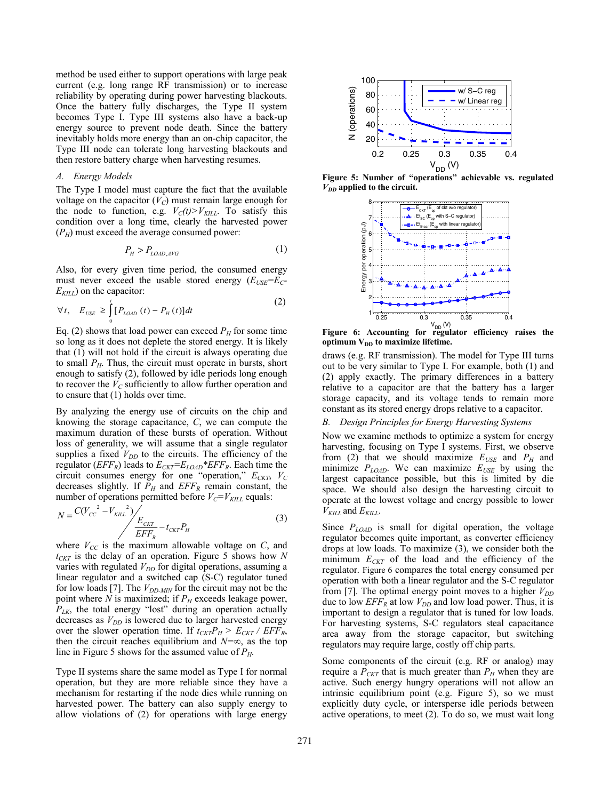method be used either to support operations with large peak current (e.g. long range RF transmission) or to increase reliability by operating during power harvesting blackouts. Once the battery fully discharges, the Type II system becomes Type I. Type III systems also have a back-up energy source to prevent node death. Since the battery inevitably holds more energy than an on-chip capacitor, the Type III node can tolerate long harvesting blackouts and then restore battery charge when harvesting resumes.

#### *A. Energy Models*

The Type I model must capture the fact that the available voltage on the capacitor  $(V_C)$  must remain large enough for the node to function, e.g.  $V_c(t) > V_{KILL}$ . To satisfy this condition over a long time, clearly the harvested power  $(P_H)$  must exceed the average consumed power:

$$
P_H > P_{LOAD,AVG} \tag{1}
$$

Also, for every given time period, the consumed energy must never exceed the usable stored energy  $(E_{USE}=E_C E_{KILL}$ ) on the capacitor:

$$
\forall t, \quad E_{\text{USE}} \ge \int_{0}^{t} [P_{\text{LOAD}}(t) - P_{\text{H}}(t)]dt \tag{2}
$$

Eq. (2) shows that load power can exceed  $P_H$  for some time so long as it does not deplete the stored energy. It is likely that (1) will not hold if the circuit is always operating due to small  $P<sub>H</sub>$ . Thus, the circuit must operate in bursts, short enough to satisfy (2), followed by idle periods long enough to recover the  $V_C$  sufficiently to allow further operation and to ensure that (1) holds over time.

By analyzing the energy use of circuits on the chip and knowing the storage capacitance, *C*, we can compute the maximum duration of these bursts of operation. Without loss of generality, we will assume that a single regulator supplies a fixed  $V_{DD}$  to the circuits. The efficiency of the regulator ( $EFF_R$ ) leads to  $E_{CKT} = E_{LOAD} * EFF_R$ . Each time the circuit consumes energy for one "operation,"  $E_{CKT}$ ,  $V_C$ decreases slightly. If  $P_H$  and  $EFF_R$  remain constant, the number of operations permitted before  $V_C=V_{KILL}$  equals:

$$
N = \frac{C(V_{cc}^2 - V_{KILL})}{E_{CKT}} = t_{CKT} P_H
$$
\n(3)

where  $V_{CC}$  is the maximum allowable voltage on  $C$ , and  $t_{CKT}$  is the delay of an operation. Figure 5 shows how N varies with regulated  $V_{DD}$  for digital operations, assuming a linear regulator and a switched cap (S-C) regulator tuned for low loads [7]. The  $V_{DD-MIN}$  for the circuit may not be the point where  $N$  is maximized; if  $P_H$  exceeds leakage power,  $P_{LK}$ , the total energy "lost" during an operation actually decreases as  $V_{DD}$  is lowered due to larger harvested energy over the slower operation time. If  $t_{CKT}P_H > E_{CKT} / EFF_R$ , then the circuit reaches equilibrium and  $N=\infty$ , as the top line in Figure 5 shows for the assumed value of *PH*.

Type II systems share the same model as Type I for normal operation, but they are more reliable since they have a mechanism for restarting if the node dies while running on harvested power. The battery can also supply energy to allow violations of (2) for operations with large energy



**Figure 5: Number of "operations" achievable vs. regulated**  $V_{DD}$  applied to the circuit.



Figure 6: Accounting for regulator efficiency raises the optimum  $V_{DD}$  to maximize lifetime.

draws (e.g. RF transmission). The model for Type III turns out to be very similar to Type I. For example, both (1) and (2) apply exactly. The primary differences in a battery relative to a capacitor are that the battery has a larger storage capacity, and its voltage tends to remain more constant as its stored energy drops relative to a capacitor.

## *B. Design Principles for Energy Harvesting Systems*

Now we examine methods to optimize a system for energy harvesting, focusing on Type I systems. First, we observe from (2) that we should maximize  $E_{USE}$  and  $P_H$  and minimize  $P_{LOAD}$ . We can maximize  $E_{USE}$  by using the largest capacitance possible, but this is limited by die space. We should also design the harvesting circuit to operate at the lowest voltage and energy possible to lower  $V_{KILL}$  and  $E_{KILL}$ .

Since  $P_{LOAD}$  is small for digital operation, the voltage regulator becomes quite important, as converter efficiency drops at low loads. To maximize (3), we consider both the minimum  $E_{CKT}$  of the load and the efficiency of the regulator. Figure 6 compares the total energy consumed per operation with both a linear regulator and the S-C regulator from [7]. The optimal energy point moves to a higher  $V_{DD}$ due to low  $EFF_R$  at low  $V_{DD}$  and low load power. Thus, it is important to design a regulator that is tuned for low loads. For harvesting systems, S-C regulators steal capacitance area away from the storage capacitor, but switching regulators may require large, costly off chip parts.

Some components of the circuit (e.g. RF or analog) may require a  $P_{CKT}$  that is much greater than  $P_H$  when they are active. Such energy hungry operations will not allow an intrinsic equilibrium point (e.g. Figure 5), so we must explicitly duty cycle, or intersperse idle periods between active operations, to meet (2). To do so, we must wait long